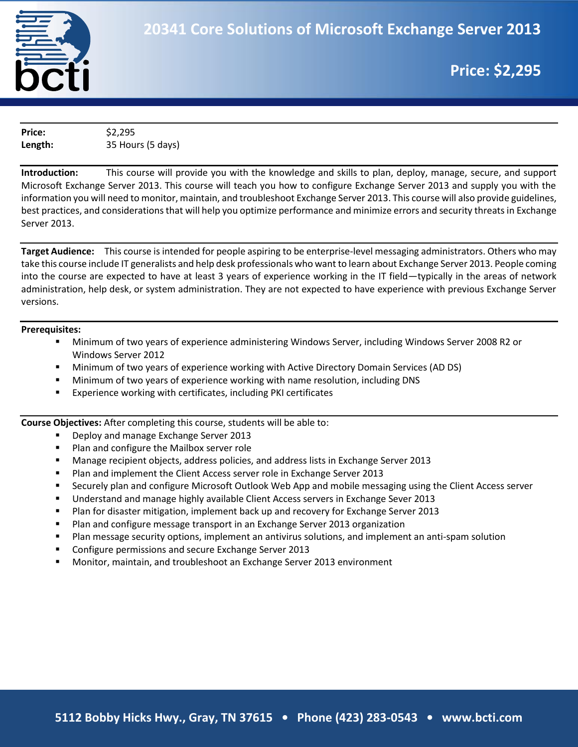

# **Price: \$2,295**

**Price:** \$2,295 **Length:** 35 Hours (5 days)

**Introduction:** This course will provide you with the knowledge and skills to plan, deploy, manage, secure, and support Microsoft Exchange Server 2013. This course will teach you how to configure Exchange Server 2013 and supply you with the information you will need to monitor, maintain, and troubleshoot Exchange Server 2013. This course will also provide guidelines, best practices, and considerations that will help you optimize performance and minimize errors and security threats in Exchange Server 2013.

**Target Audience:** This course is intended for people aspiring to be enterprise-level messaging administrators. Others who may take this course include IT generalists and help desk professionals who want to learn about Exchange Server 2013. People coming into the course are expected to have at least 3 years of experience working in the IT field—typically in the areas of network administration, help desk, or system administration. They are not expected to have experience with previous Exchange Server versions.

#### **Prerequisites:**

- Minimum of two years of experience administering Windows Server, including Windows Server 2008 R2 or Windows Server 2012
- Minimum of two years of experience working with Active Directory Domain Services (AD DS)
- Minimum of two years of experience working with name resolution, including DNS
- Experience working with certificates, including PKI certificates

**Course Objectives:** After completing this course, students will be able to:

- **Deploy and manage Exchange Server 2013**
- **Plan and configure the Mailbox server role**
- **Manage recipient objects, address policies, and address lists in Exchange Server 2013**
- **Plan and implement the Client Access server role in Exchange Server 2013**
- **Securely plan and configure Microsoft Outlook Web App and mobile messaging using the Client Access server**
- Understand and manage highly available Client Access servers in Exchange Sever 2013
- **Plan for disaster mitigation, implement back up and recovery for Exchange Server 2013**
- **Plan and configure message transport in an Exchange Server 2013 organization**
- Plan message security options, implement an antivirus solutions, and implement an anti-spam solution
- **Configure permissions and secure Exchange Server 2013**
- Monitor, maintain, and troubleshoot an Exchange Server 2013 environment